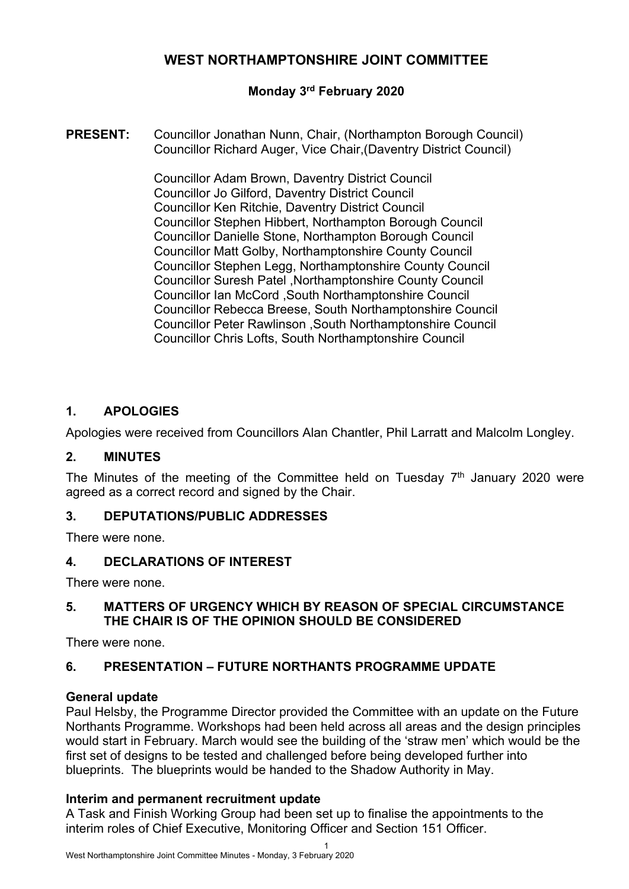# **WEST NORTHAMPTONSHIRE JOINT COMMITTEE**

## **Monday 3 rd February 2020**

**PRESENT:** Councillor Jonathan Nunn, Chair, (Northampton Borough Council) Councillor Richard Auger, Vice Chair,(Daventry District Council)

> Councillor Adam Brown, Daventry District Council Councillor Jo Gilford, Daventry District Council Councillor Ken Ritchie, Daventry District Council Councillor Stephen Hibbert, Northampton Borough Council Councillor Danielle Stone, Northampton Borough Council Councillor Matt Golby, Northamptonshire County Council Councillor Stephen Legg, Northamptonshire County Council Councillor Suresh Patel ,Northamptonshire County Council Councillor Ian McCord ,South Northamptonshire Council Councillor Rebecca Breese, South Northamptonshire Council Councillor Peter Rawlinson ,South Northamptonshire Council Councillor Chris Lofts, South Northamptonshire Council

### **1. APOLOGIES**

Apologies were received from Councillors Alan Chantler, Phil Larratt and Malcolm Longley.

#### **2. MINUTES**

The Minutes of the meeting of the Committee held on Tuesday  $7<sup>th</sup>$  January 2020 were agreed as a correct record and signed by the Chair.

#### **3. DEPUTATIONS/PUBLIC ADDRESSES**

There were none.

#### **4. DECLARATIONS OF INTEREST**

There were none.

## **5. MATTERS OF URGENCY WHICH BY REASON OF SPECIAL CIRCUMSTANCE THE CHAIR IS OF THE OPINION SHOULD BE CONSIDERED**

There were none.

## **6. PRESENTATION – FUTURE NORTHANTS PROGRAMME UPDATE**

#### **General update**

Paul Helsby, the Programme Director provided the Committee with an update on the Future Northants Programme. Workshops had been held across all areas and the design principles would start in February. March would see the building of the 'straw men' which would be the first set of designs to be tested and challenged before being developed further into blueprints. The blueprints would be handed to the Shadow Authority in May.

#### **Interim and permanent recruitment update**

A Task and Finish Working Group had been set up to finalise the appointments to the interim roles of Chief Executive, Monitoring Officer and Section 151 Officer.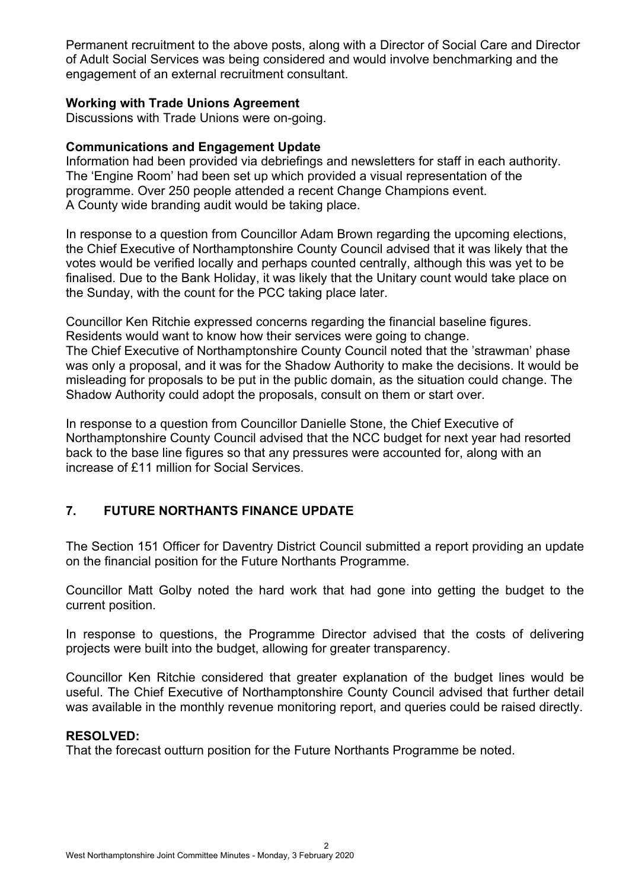Permanent recruitment to the above posts, along with a Director of Social Care and Director of Adult Social Services was being considered and would involve benchmarking and the engagement of an external recruitment consultant.

#### **Working with Trade Unions Agreement**

Discussions with Trade Unions were on-going.

#### **Communications and Engagement Update**

Information had been provided via debriefings and newsletters for staff in each authority. The 'Engine Room' had been set up which provided a visual representation of the programme. Over 250 people attended a recent Change Champions event. A County wide branding audit would be taking place.

In response to a question from Councillor Adam Brown regarding the upcoming elections, the Chief Executive of Northamptonshire County Council advised that it was likely that the votes would be verified locally and perhaps counted centrally, although this was yet to be finalised. Due to the Bank Holiday, it was likely that the Unitary count would take place on the Sunday, with the count for the PCC taking place later.

Councillor Ken Ritchie expressed concerns regarding the financial baseline figures. Residents would want to know how their services were going to change.

The Chief Executive of Northamptonshire County Council noted that the 'strawman' phase was only a proposal, and it was for the Shadow Authority to make the decisions. It would be misleading for proposals to be put in the public domain, as the situation could change. The Shadow Authority could adopt the proposals, consult on them or start over.

In response to a question from Councillor Danielle Stone, the Chief Executive of Northamptonshire County Council advised that the NCC budget for next year had resorted back to the base line figures so that any pressures were accounted for, along with an increase of £11 million for Social Services.

## **7. FUTURE NORTHANTS FINANCE UPDATE**

The Section 151 Officer for Daventry District Council submitted a report providing an update on the financial position for the Future Northants Programme.

Councillor Matt Golby noted the hard work that had gone into getting the budget to the current position.

In response to questions, the Programme Director advised that the costs of delivering projects were built into the budget, allowing for greater transparency.

Councillor Ken Ritchie considered that greater explanation of the budget lines would be useful. The Chief Executive of Northamptonshire County Council advised that further detail was available in the monthly revenue monitoring report, and queries could be raised directly.

#### **RESOLVED:**

That the forecast outturn position for the Future Northants Programme be noted.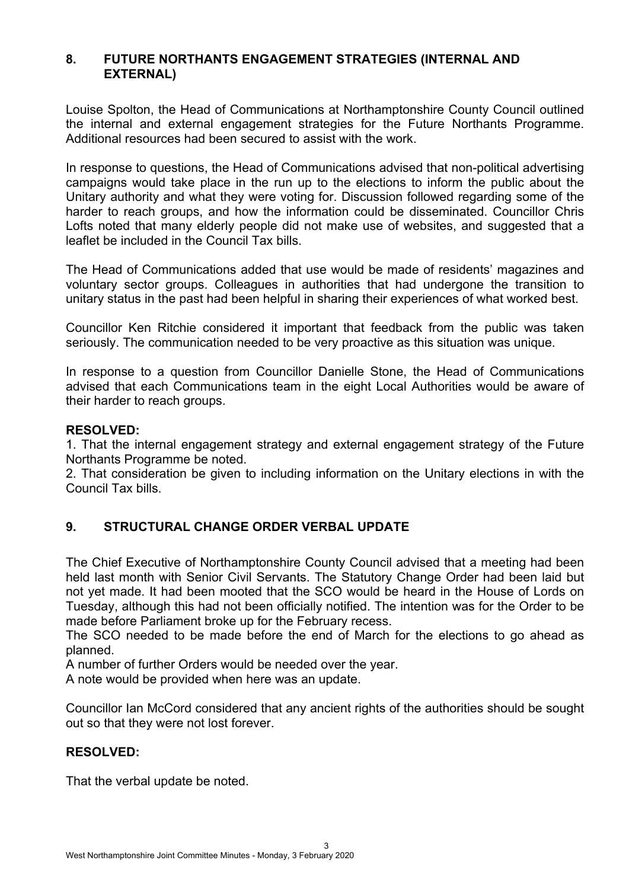### **8. FUTURE NORTHANTS ENGAGEMENT STRATEGIES (INTERNAL AND EXTERNAL)**

Louise Spolton, the Head of Communications at Northamptonshire County Council outlined the internal and external engagement strategies for the Future Northants Programme. Additional resources had been secured to assist with the work.

In response to questions, the Head of Communications advised that non-political advertising campaigns would take place in the run up to the elections to inform the public about the Unitary authority and what they were voting for. Discussion followed regarding some of the harder to reach groups, and how the information could be disseminated. Councillor Chris Lofts noted that many elderly people did not make use of websites, and suggested that a leaflet be included in the Council Tax bills.

The Head of Communications added that use would be made of residents' magazines and voluntary sector groups. Colleagues in authorities that had undergone the transition to unitary status in the past had been helpful in sharing their experiences of what worked best.

Councillor Ken Ritchie considered it important that feedback from the public was taken seriously. The communication needed to be very proactive as this situation was unique.

In response to a question from Councillor Danielle Stone, the Head of Communications advised that each Communications team in the eight Local Authorities would be aware of their harder to reach groups.

#### **RESOLVED:**

1. That the internal engagement strategy and external engagement strategy of the Future Northants Programme be noted.

2. That consideration be given to including information on the Unitary elections in with the Council Tax bills.

## **9. STRUCTURAL CHANGE ORDER VERBAL UPDATE**

The Chief Executive of Northamptonshire County Council advised that a meeting had been held last month with Senior Civil Servants. The Statutory Change Order had been laid but not yet made. It had been mooted that the SCO would be heard in the House of Lords on Tuesday, although this had not been officially notified. The intention was for the Order to be made before Parliament broke up for the February recess.

The SCO needed to be made before the end of March for the elections to go ahead as planned.

A number of further Orders would be needed over the year.

A note would be provided when here was an update.

Councillor Ian McCord considered that any ancient rights of the authorities should be sought out so that they were not lost forever.

#### **RESOLVED:**

That the verbal update be noted.